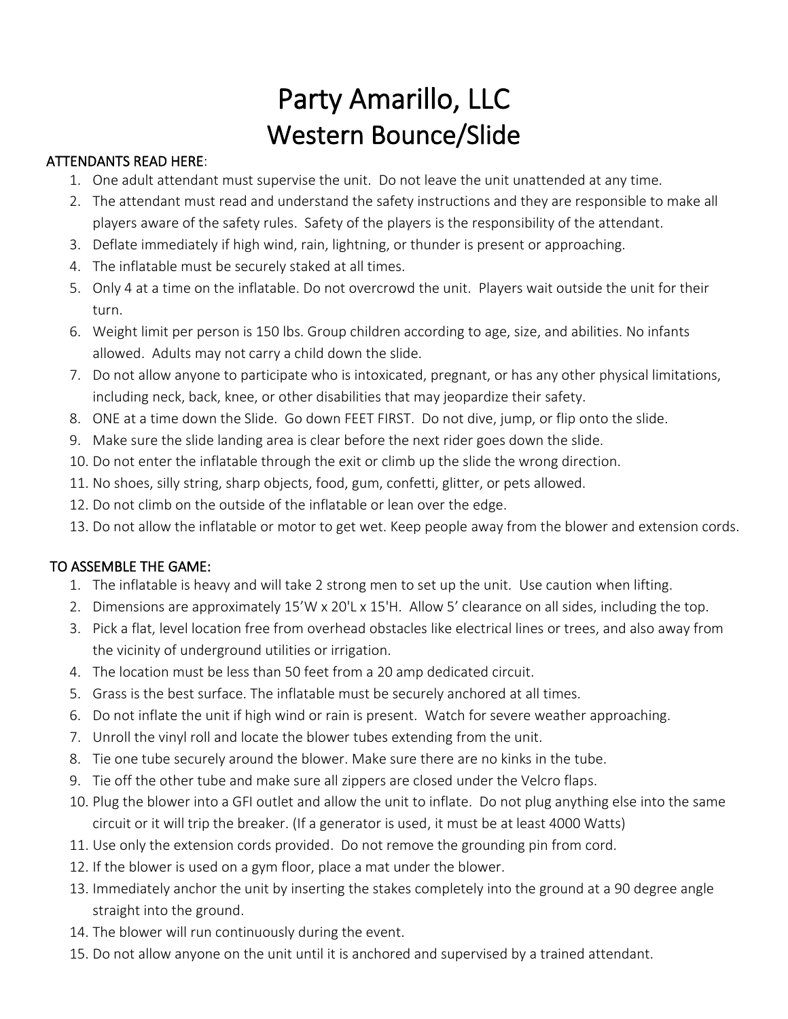## Party Amarillo, LLC Western Bounce/Slide

## ATTENDANTS READ HERE:

- 1. One adult attendant must supervise the unit. Do not leave the unit unattended at any time.
- 2. The attendant must read and understand the safety instructions and they are responsible to make all players aware of the safety rules. Safety of the players is the responsibility of the attendant.
- 3. Deflate immediately if high wind, rain, lightning, or thunder is present or approaching.
- 4. The inflatable must be securely staked at all times.
- 5. Only 4 at a time on the inflatable. Do not overcrowd the unit. Players wait outside the unit for their turn.
- 6. Weight limit per person is 150 lbs. Group children according to age, size, and abilities. No infants allowed. Adults may not carry a child down the slide.
- 7. Do not allow anyone to participate who is intoxicated, pregnant, or has any other physical limitations, including neck, back, knee, or other disabilities that may jeopardize their safety.
- 8. ONE at a time down the Slide. Go down FEET FIRST. Do not dive, jump, or flip onto the slide.
- 9. Make sure the slide landing area is clear before the next rider goes down the slide.
- 10. Do not enter the inflatable through the exit or climb up the slide the wrong direction.
- 11. No shoes, silly string, sharp objects, food, gum, confetti, glitter, or pets allowed.
- 12. Do not climb on the outside of the inflatable or lean over the edge.
- 13. Do not allow the inflatable or motor to get wet. Keep people away from the blower and extension cords.

## TO ASSEMBLE THE GAME:

- 1. The inflatable is heavy and will take 2 strong men to set up the unit. Use caution when lifting.
- 2. Dimensions are approximately 15'W x 20'L x 15'H. Allow 5' clearance on all sides, including the top.
- 3. Pick a flat, level location free from overhead obstacles like electrical lines or trees, and also away from the vicinity of underground utilities or irrigation.
- 4. The location must be less than 50 feet from a 20 amp dedicated circuit.
- 5. Grass is the best surface. The inflatable must be securely anchored at all times.
- 6. Do not inflate the unit if high wind or rain is present. Watch for severe weather approaching.
- 7. Unroll the vinyl roll and locate the blower tubes extending from the unit.
- 8. Tie one tube securely around the blower. Make sure there are no kinks in the tube.
- 9. Tie off the other tube and make sure all zippers are closed under the Velcro flaps.
- 10. Plug the blower into a GFI outlet and allow the unit to inflate. Do not plug anything else into the same circuit or it will trip the breaker. (If a generator is used, it must be at least 4000 Watts)
- 11. Use only the extension cords provided. Do not remove the grounding pin from cord.
- 12. If the blower is used on a gym floor, place a mat under the blower.
- 13. Immediately anchor the unit by inserting the stakes completely into the ground at a 90 degree angle straight into the ground.
- 14. The blower will run continuously during the event.
- 15. Do not allow anyone on the unit until it is anchored and supervised by a trained attendant.